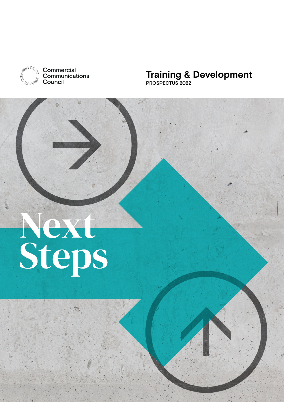

Commercial Communications Council

### **Training & Development PROSPECTUS 2022**

# Next<br>Steps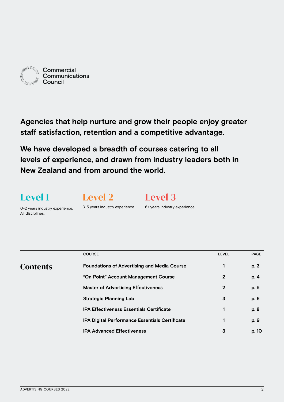

**Agencies that help nurture and grow their people enjoy greater staff satisfaction, retention and a competitive advantage.**

**We have developed a breadth of courses catering to all levels of experience, and drawn from industry leaders both in New Zealand and from around the world.**

### Level 1

Level 2

Level 3

0-2 years industry experience. All disciplines.

3-5 years industry experience.

6+ years industry experience.

|                 | <b>COURSE</b>                                         | <b>LEVEL</b> | <b>PAGE</b> |
|-----------------|-------------------------------------------------------|--------------|-------------|
| <b>Contents</b> | <b>Foundations of Advertising and Media Course</b>    | 1            | p. 3        |
|                 | "On Point" Account Management Course                  | $\mathbf 2$  | p. 4        |
|                 | <b>Master of Advertising Effectiveness</b>            | $\mathbf 2$  | p. 5        |
|                 | <b>Strategic Planning Lab</b>                         | 3            | p. 6        |
|                 | <b>IPA Effectiveness Essentials Certificate</b>       | 1            | p. 8        |
|                 | <b>IPA Digital Performance Essentials Certificate</b> |              | p. 9        |
|                 | <b>IPA Advanced Effectiveness</b>                     | 3            | p. 10       |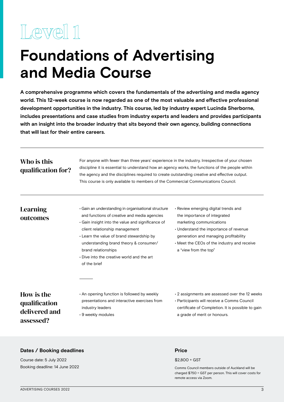### <span id="page-2-0"></span>**Foundations of Advertising and Media Course**

**A comprehensive programme which covers the fundamentals of the advertising and media agency world. This 12-week course is now regarded as one of the most valuable and effective professional development opportunities in the industry. This course, led by industry expert Lucinda Sherborne, includes presentations and case studies from industry experts and leaders and provides participants with an insight into the broader industry that sits beyond their own agency, building connections that will last for their entire careers.**

### Who is this qualification for?

For anyone with fewer than three years' experience in the industry. Irrespective of your chosen discipline it is essential to understand how an agency works, the functions of the people within the agency and the disciplines required to create outstanding creative and effective output. This course is only available to members of the Commercial Communications Council.

### Learning outcomes

- Gain an understanding in organisational structure and functions of creative and media agencies
- Gain insight into the value and significance of client relationship management
- Learn the value of brand stewardship by understanding brand theory & consumer/ brand relationships
- Dive into the creative world and the art of the brief
- Review emerging digital trends and the importance of integrated marketing communications
- Understand the importance of revenue generation and managing profitability
- Meet the CEOs of the industry and receive a "view from the top"

### How is the qualification delivered and assessed?

- An opening function is followed by weekly presentations and interactive exercises from industry leaders
- 9 weekly modules

• 2 assignments are assessed over the 12 weeks • Participants will receive a Comms Council certificate of Completion. It is possible to gain a grade of merit or honours.

### **Dates / Booking deadlines**

Course date: 5 July 2022 Booking deadline: 14 June 2022

#### **Price**

#### \$2,800 + GST

Comms Council members outside of Auckland will be charged \$750 + GST per person. This will cover costs for remote access via Zoom.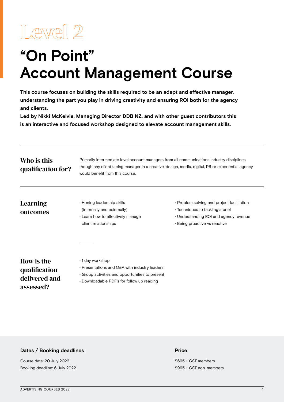<span id="page-3-0"></span>

### **"On Point" Account Management Course**

**This course focuses on building the skills required to be an adept and effective manager, understanding the part you play in driving creativity and ensuring ROI both for the agency and clients.** 

**Led by Nikki McKelvie, Managing Director DDB NZ, and with other guest contributors this is an interactive and focused workshop designed to elevate account management skills.**

| Who is this<br>qualification for?<br>Learning<br>outcomes | Primarily intermediate level account managers from all communications industry disciplines,<br>though any client facing manager in a creative, design, media, digital, PR or experiential agency<br>would benefit from this course. |                                                                                                                                                                 |  |  |  |
|-----------------------------------------------------------|-------------------------------------------------------------------------------------------------------------------------------------------------------------------------------------------------------------------------------------|-----------------------------------------------------------------------------------------------------------------------------------------------------------------|--|--|--|
|                                                           | • Honing leadership skills<br>(internally and externally)<br>• Learn how to effectively manage<br>client relationships                                                                                                              | • Problem solving and project facilitation<br>$\cdot$ Techniques to tackling a brief<br>• Understanding ROI and agency revenue<br>• Being proactive vs reactive |  |  |  |
| How is the<br>qualification<br>delivered and<br>assessed? | $\cdot$ 1 day workshop<br>• Presentations and Q&A with industry leaders<br>$\cdot$ Group activities and opportunities to present<br>• Downloadable PDF's for follow up reading                                                      |                                                                                                                                                                 |  |  |  |

#### **Dates / Booking deadlines**

Course date: 20 July 2022 Booking deadline: 6 July 2022

#### **Price**

\$695 + GST members \$995 + GST non-members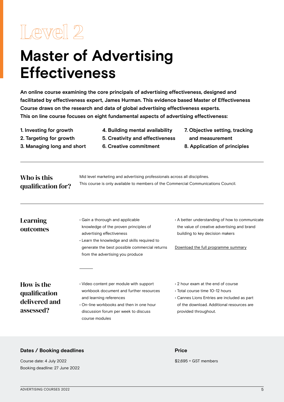### <span id="page-4-0"></span>**Master of Advertising Effectiveness**

**An online course examining the core principals of advertising effectiveness, designed and facilitated by effectiveness expert, James Hurman. This evidence based Master of Effectiveness Course draws on the research and data of global advertising effectiveness experts. This on line course focuses on eight fundamental aspects of advertising effectiveness:**

**1. Investing for growth 2. Targeting for growth** 

**3. Managing long and short** 

- **4. Building mental availability**
- **5. Creativity and effectiveness**

**6. Creative commitment** 

- **7. Objective setting, tracking and measurement**
- **8. Application of principles**

### Who is this qualification for?

Mid level marketing and advertising professionals across all disciplines. This course is only available to members of the Commercial Communications Council.

### Learning outcomes

- Gain a thorough and applicable knowledge of the proven principles of advertising effectiveness • Learn the knowledge and skills required to
- generate the best possible commercial returns from the advertising you produce
- A better understanding of how to communicate the value of creative advertising and brand building to key decision makers

Download the full programme summary

### How is the qualification delivered and assessed?

- Video content per module with support workbook document and further resources and learning references
- On-line workbooks and then in one hour discussion forum per week to discuss course modules
- 2 hour exam at the end of course
- Total course time 10-12 hours
- Cannes Lions Entries are included as part of the download. Additional resources are provided throughout.

#### **Dates / Booking deadlines Price**

Course date: 4 July 2022 **\$2,695 + GST members** Booking deadline: 27 June 2022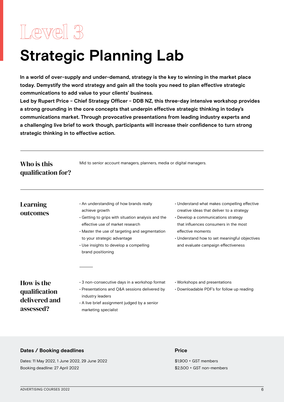### <span id="page-5-0"></span>**Strategic Planning Lab**

**In a world of over-supply and under-demand, strategy is the key to winning in the market place today. Demystify the word strategy and gain all the tools you need to plan effective strategic communications to add value to your clients' business.** 

**Led by Rupert Price - Chief Strategy Officer - DDB NZ, this three-day intensive workshop provides a strong grounding in the core concepts that underpin effective strategic thinking in today's communications market. Through provocative presentations from leading industry experts and a challenging live brief to work though, participants will increase their confidence to turn strong strategic thinking in to effective action.**

| Who is this        | Mid to senior account managers, planners, media or digital managers. |
|--------------------|----------------------------------------------------------------------|
| qualification for? |                                                                      |

### Learning outcomes

- An understanding of how brands really achieve growth
- Getting to grips with situation analysis and the effective use of market research
- Master the use of targeting and segmentation to your strategic advantage
- Use insights to develop a compelling brand positioning
- Understand what makes compelling effective creative ideas that deliver to a strategy
- Develop a communications strategy that influences consumers in the most effective moments
- Understand how to set meaningful objectives and evaluate campaign effectiveness

### How is the qualification delivered and assessed?

- 3 non-consecutive days in a workshop format
- Presentations and Q&A sessions delivered by industry leaders
- A live brief assignment judged by a senior marketing specialist
- Workshops and presentations
- Downloadable PDF's for follow up reading

### **Dates / Booking deadlines**

Dates: 11 May 2022, 1 June 2022, 29 June 2022 Booking deadline: 27 April 2022

#### **Price**

\$1,900 + GST members \$2,500 + GST non-members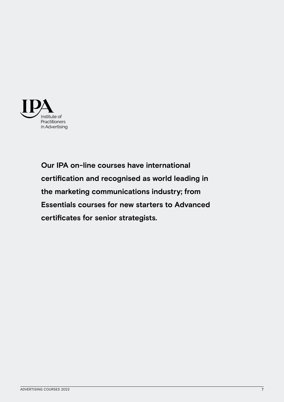

**Our IPA on-line courses have international certification and recognised as world leading in the marketing communications industry; from Essentials courses for new starters to Advanced certificates for senior strategists.**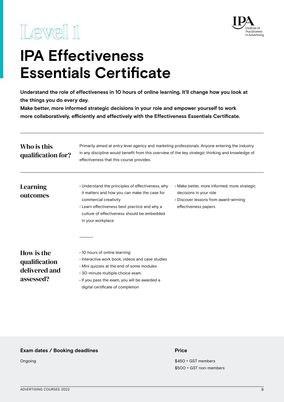<span id="page-7-0"></span>



### **IPA Effectiveness Essentials Certificate**

**Understand the role of effectiveness in 10 hours of online learning. It'll change how you look at the things you do every day.** 

**Make better, more informed strategic decisions in your role and empower yourself to work more collaboratively, efficiently and effectively with the Effectiveness Essentials Certificate.**

| Who is this<br>qualification for?                         | Primarily aimed at entry level agency and marketing professionals. Anyone entering the industry<br>in any discipline would benefit from this overview of the key strategic thinking and knowledge of<br>effectiveness that this course provides.                      |                                                                                                                                         |  |  |  |
|-----------------------------------------------------------|-----------------------------------------------------------------------------------------------------------------------------------------------------------------------------------------------------------------------------------------------------------------------|-----------------------------------------------------------------------------------------------------------------------------------------|--|--|--|
| <b>Learning</b><br>outcomes                               | • Understand the principles of effectiveness, why<br>it matters and how you can make the case for<br>commercial creativity<br>• Learn effectiveness best practice and why a<br>culture of effectiveness should be embedded<br>in your workplace                       | · Make better, more informed, more strategic<br>decisions in your role<br>• Discover lessons from award-winning<br>effectiveness papers |  |  |  |
| How is the<br>qualification<br>delivered and<br>assessed? | $\cdot$ 10 hours of online learning<br>· Interactive work book, videos and case studies<br>. Mini quizzes at the end of some modules<br>$\cdot$ 30-minute multiple choice exam.<br>. If you pass the exam, you will be awarded a<br>digital certificate of completion |                                                                                                                                         |  |  |  |

### **Exam dates / Booking deadlines**

Ongoing

#### **Price**

\$450 + GST members \$500 + GST non-members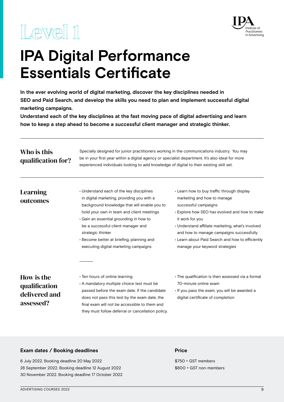

### <span id="page-8-0"></span>**IPA Digital Performance Essentials Certificate**

**In the ever evolving world of digital marketing, discover the key disciplines needed in SEO and Paid Search, and develop the skills you need to plan and implement successful digital marketing campaigns.** 

**Understand each of the key disciplines at the fast moving pace of digital advertising and learn how to keep a step ahead to become a successful client manager and strategic thinker.**

| Who is this<br>qualification for?                         | Specially designed for junior practitioners working in the communications industry. You may<br>be in your first year within a digital agency or specialist department. It's also ideal for more<br>experienced individuals looking to add knowledge of digital to their existing skill set.                                                                                   |                                                                                                                                                                                                                                                                                                                                                              |  |  |  |
|-----------------------------------------------------------|-------------------------------------------------------------------------------------------------------------------------------------------------------------------------------------------------------------------------------------------------------------------------------------------------------------------------------------------------------------------------------|--------------------------------------------------------------------------------------------------------------------------------------------------------------------------------------------------------------------------------------------------------------------------------------------------------------------------------------------------------------|--|--|--|
| Learning<br>outcomes                                      | • Understand each of the key disciplines<br>in digital marketing, providing you with a<br>background knowledge that will enable you to<br>hold your own in team and client meetings<br>Gain an essential grounding in how to<br>be a successful client manager and<br>strategic thinker<br>· Become better at briefing, planning and<br>executing digital marketing campaigns | • Learn how to buy traffic through display<br>marketing and how to manage<br>successful campaigns<br>• Explore how SEO has evolved and how to make<br>it work for you<br>· Understand affiliate marketing, what's involved<br>and how to manage campaigns successfully<br>• Learn about Paid Search and how to efficiently<br>manage your keyword strategies |  |  |  |
| How is the<br>qualification<br>delivered and<br>assessed? | $\cdot$ Ten hours of online learning<br>• A mandatory multiple choice test must be<br>passed before the exam date. If the candidate<br>does not pass this test by the exam date, the<br>final exam will not be accessible to them and<br>they must follow deferral or cancellation policy.                                                                                    | • The qualification is then assessed via a formal<br>70-minute online exam<br>· If you pass the exam, you will be awarded a<br>digital certificate of completion                                                                                                                                                                                             |  |  |  |

#### **Exam dates / Booking deadlines**

6 July 2022. Booking deadline 20 May 2022 28 September 2022. Booking deadline 12 August 2022 30 November 2022. Booking deadline 17 October 2022

#### **Price**

\$750 + GST members \$800 + GST non-members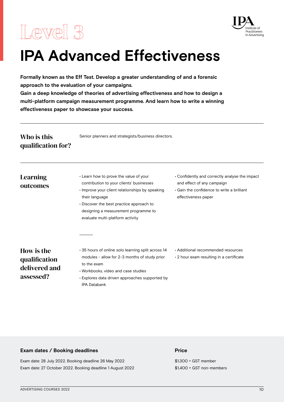<span id="page-9-0"></span>



### **IPA Advanced Effectiveness**

**Formally known as the Eff Test. Develop a greater understanding of and a forensic approach to the evaluation of your campaigns.** 

**Gain a deep knowledge of theories of advertising effectiveness and how to design a multi-platform campaign measurement programme. And learn how to write a winning effectiveness paper to showcase your success.**

| Who is this<br>qualification for?                         | Senior planners and strategists/business directors.                                                                                                                                                                                                                           |                                                                                                                                                         |  |  |  |
|-----------------------------------------------------------|-------------------------------------------------------------------------------------------------------------------------------------------------------------------------------------------------------------------------------------------------------------------------------|---------------------------------------------------------------------------------------------------------------------------------------------------------|--|--|--|
| Learning<br>outcomes                                      | • Learn how to prove the value of your<br>contribution to your clients' businesses<br>Improve your client relationships by speaking<br>their language<br>• Discover the best practice approach to<br>designing a measurement programme to<br>evaluate multi-platform activity | • Confidently and correctly analyse the impact<br>and effect of any campaign<br>$\cdot$ Gain the confidence to write a brilliant<br>effectiveness paper |  |  |  |
| How is the<br>qualification<br>delivered and<br>assessed? | ⋅ 35 hours of online solo learning split across 14<br>modules - allow for 2-3 months of study prior<br>to the exam<br>• Workbooks, video and case studies<br>• Explores data driven approaches supported by<br><b>IPA Databank</b>                                            | • Additional recommended resources<br>$\cdot$ 2 hour exam resulting in a certificate                                                                    |  |  |  |

#### **Exam dates / Booking deadlines**

Exam date: 28 July 2022. Booking deadline 26 May 2022 Exam date: 27 October 2022. Booking deadline 1 August 2022

#### **Price**

\$1,300 + GST member \$1,400 + GST non-members